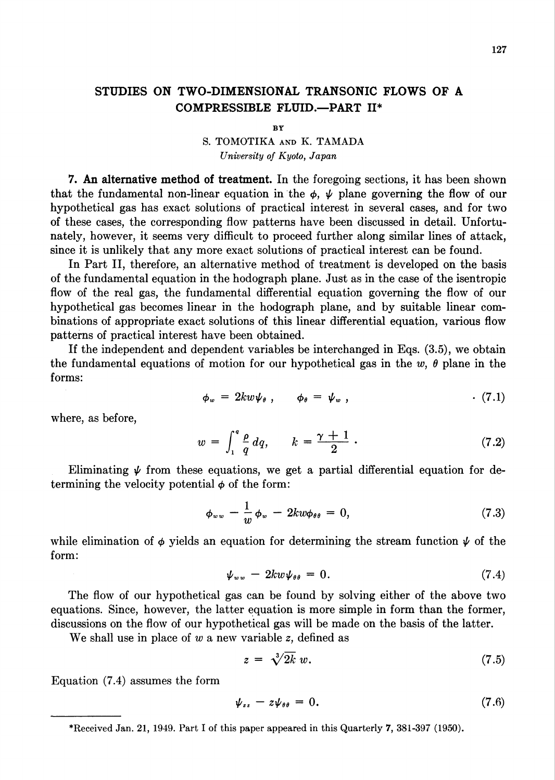## STUDIES ON TWO-DIMENSIONAL TRANSONIC FLOWS OF A COMPRESSIBLE FLUID.—PART II\*

**BY** 

## S. TOMOTIKA and K. TAMADA University of Kyoto, Japan

7. An alternative method of treatment. In the foregoing sections, it has been shown that the fundamental non-linear equation in the  $\phi$ ,  $\psi$  plane governing the flow of our hypothetical gas has exact solutions of practical interest in several cases, and for two of these cases, the corresponding flow patterns have been discussed in detail. Unfortunately, however, it seems very difficult to proceed further along similar lines of attack, since it is unlikely that any more exact solutions of practical interest can be found.

In Part II, therefore, an alternative method of treatment is developed on the basis of the fundamental equation in the hodograph plane. Just as in the case of the isentropic flow of the real gas, the fundamental differential equation governing the flow of our hypothetical gas becomes linear in the hodograph plane, and by suitable linear combinations of appropriate exact solutions of this linear differential equation, various flow patterns of practical interest have been obtained.

If the independent and dependent variables be interchanged in Eqs. (3.5), we obtain the fundamental equations of motion for our hypothetical gas in the w,  $\theta$  plane in the forms:

$$
\phi_w = 2kw\psi_\theta \; , \qquad \phi_\theta = \psi_w \; , \qquad (7.1)
$$

where, as before,

$$
w = \int_{1}^{q} \frac{\rho}{q} dq, \qquad k = \frac{\gamma + 1}{2} \tag{7.2}
$$

Eliminating  $\psi$  from these equations, we get a partial differential equation for determining the velocity potential  $\phi$  of the form:

$$
\phi_{ww} - \frac{1}{w} \phi_w - 2kw \phi_{\theta\theta} = 0, \qquad (7.3)
$$

while elimination of  $\phi$  yields an equation for determining the stream function  $\psi$  of the form:

$$
\psi_{ww} - 2kw\psi_{\theta\theta} = 0. \tag{7.4}
$$

The flow of our hypothetical gas can be found by solving either of the above two equations. Since, however, the latter equation is more simple in form than the former, discussions on the flow of our hypothetical gas will be made on the basis of the latter.

We shall use in place of  $w$  a new variable  $z$ , defined as

$$
z = \sqrt[3]{2k} w. \tag{7.5}
$$

Equation (7.4) assumes the form

$$
\psi_{zz} - z\psi_{\theta\theta} = 0. \tag{7.6}
$$

<sup>\*</sup>Received Jan. 21, 1949. Part I of this paper appeared in this Quarterly 7, 381-397 (1950).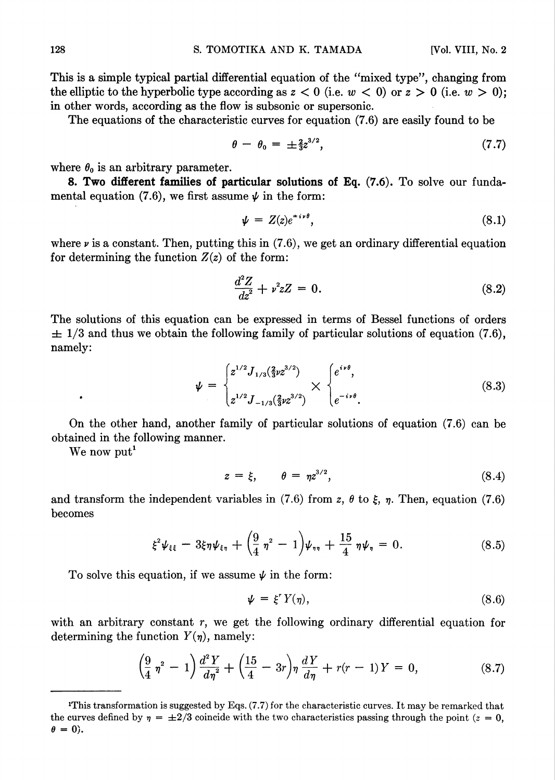This is a simple typical partial differential equation of the "mixed type", changing from the elliptic to the hyperbolic type according as  $z < 0$  (i.e.  $w < 0$ ) or  $z > 0$  (i.e.  $w > 0$ ); in other words, according as the flow is subsonic or supersonic.

The equations of the characteristic curves for equation (7.6) are easily found to be

$$
\theta - \theta_0 = \pm \frac{2}{3} z^{3/2}, \tag{7.7}
$$

where  $\theta_0$  is an arbitrary parameter.

8. Two different families of particular solutions of Eq. (7.6). To solve our fundamental equation (7.6), we first assume  $\psi$  in the form:

$$
\psi = Z(z)e^{\pm i\nu\theta}, \tag{8.1}
$$

where  $\nu$  is a constant. Then, putting this in (7.6), we get an ordinary differential equation for determining the function  $Z(z)$  of the form:

$$
\frac{d^2Z}{dz^2} + \nu^2 z Z = 0.
$$
 (8.2)

The solutions of this equation can be expressed in terms of Bessel functions of orders  $\pm$  1/3 and thus we obtain the following family of particular solutions of equation (7.6), namely:

$$
\psi = \begin{cases} z^{1/2} J_{1/3}(\frac{2}{3}\nu^{3/2}) \\ z^{1/2} J_{-1/3}(\frac{2}{3}\nu^{3/2}) \end{cases} \times \begin{cases} e^{i\nu\theta}, \\ e^{-i\nu\theta}. \end{cases}
$$
(8.3)

On the other hand, another family of particular solutions of equation (7.6) can be obtained in the following manner.

We now put<sup>1</sup>

$$
z = \xi, \qquad \theta = \eta z^{3/2}, \tag{8.4}
$$

and transform the independent variables in (7.6) from z,  $\theta$  to  $\xi$ ,  $\eta$ . Then, equation (7.6) becomes

$$
\xi^2 \psi_{\xi\xi} - 3\xi \eta \psi_{\xi\eta} + \left(\frac{9}{4} \eta^2 - 1\right) \psi_{\eta\eta} + \frac{15}{4} \eta \psi_{\eta} = 0. \tag{8.5}
$$

To solve this equation, if we assume  $\psi$  in the form:

$$
\psi = \xi^r Y(\eta), \tag{8.6}
$$

with an arbitrary constant  $r$ , we get the following ordinary differential equation for determining the function  $Y(\eta)$ , namely:

$$
\left(\frac{9}{4}\,\eta^2\,-\,1\right)\frac{d^2\,Y}{d\eta^2}+\left(\frac{15}{4}-3r\right)\eta\,\frac{d\,Y}{d\eta}+r(r\,-\,1)\,Y\,=\,0,\tag{8.7}
$$

iThis transformation is suggested by Eqs. (7.7) for the characteristic curves. It may be remarked that the curves defined by  $\eta = \pm 2/3$  coincide with the two characteristics passing through the point ( $z = 0$ ,  $\theta = 0$ .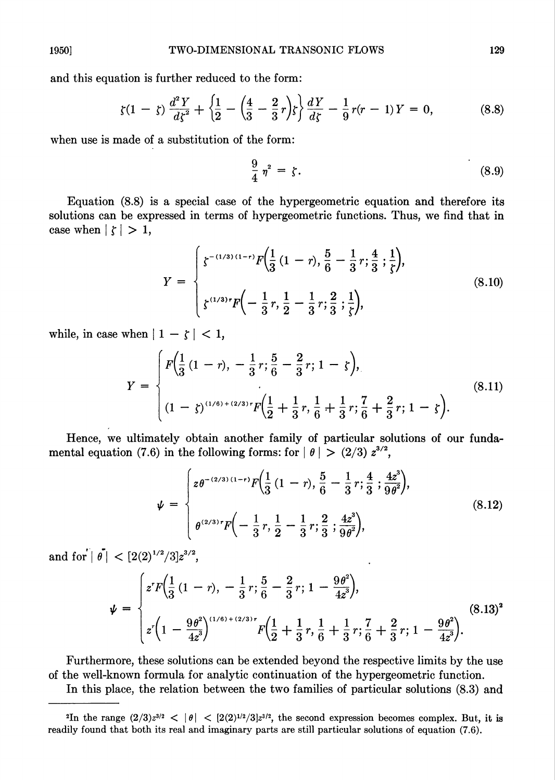and this equation is further reduced to the form:

$$
\zeta(1-\zeta)\,\frac{d^2Y}{d\zeta^2} + \left\{\frac{1}{2} - \left(\frac{4}{3} - \frac{2}{3}r\right)\zeta\right\}\frac{dY}{d\zeta} - \frac{1}{9}r(r-1)\,Y = 0,\tag{8.8}
$$

when use is made of a substitution of the form:

$$
\frac{9}{4} \eta^2 = \zeta. \tag{8.9}
$$

Equation (8.8) is a special case of the hypergeometric equation and therefore its solutions can be expressed in terms of hypergeometric functions. Thus, we find that in case when  $|\zeta| > 1$ ,

$$
Y = \begin{cases} \zeta^{-(1/3)(1-r)} F(\frac{1}{3}(1-r), \frac{5}{6} - \frac{1}{3}r; \frac{4}{3}; \frac{1}{\zeta}), \\ \zeta^{(1/3)r} F(-\frac{1}{3}r, \frac{1}{2} - \frac{1}{3}r; \frac{2}{3}; \frac{1}{\zeta}), \end{cases}
$$
(8.10)

while, in case when  $|1 - \zeta| < 1$ ,

$$
Y = \begin{cases} F\left(\frac{1}{3}(1-r), -\frac{1}{3}r; \frac{5}{6} - \frac{2}{3}r; 1 - \zeta\right), \\ (1-\zeta)^{(1/6)+(2/3)}rF\left(\frac{1}{2} + \frac{1}{3}r, \frac{1}{6} + \frac{1}{3}r; \frac{7}{6} + \frac{2}{3}r; 1 - \zeta\right). \end{cases}
$$
(8.11)

Hence, we ultimately obtain another family of particular solutions of our fundamental equation (7.6) in the following forms: for  $| \theta | > (2/3) z^{3/2}$ ,

$$
\psi = \begin{cases} z \theta^{-(2/3)(1-r)} F(\frac{1}{3}(1-r), \frac{5}{6} - \frac{1}{3}r; \frac{4}{3}; \frac{4z^3}{9\theta^2}), \\ \theta^{(2/3)r} F(-\frac{1}{3}r, \frac{1}{2} - \frac{1}{3}r; \frac{2}{3}; \frac{4z^3}{9\theta^2}), \end{cases}
$$
(8.12)

and for  $|\hat{\theta}| < [2(2)^{1/2}/3]z^{3/2}$ ,

$$
\psi = \begin{cases} z^r F\left(\frac{1}{3}(1-r), -\frac{1}{3}r; \frac{5}{6} - \frac{2}{3}r; 1 - \frac{9\theta^2}{4z^3}\right), \\ z^r \left(1 - \frac{9\theta^2}{4z^3}\right)^{(1/6) + (2/3)r} F\left(\frac{1}{2} + \frac{1}{3}r, \frac{1}{6} + \frac{1}{3}r; \frac{7}{6} + \frac{2}{3}r; 1 - \frac{9\theta^2}{4z^3}\right). \end{cases}
$$
(8.13)<sup>2</sup>

Furthermore, these solutions can be extended beyond the respective limits by the use of the well-known formula for analytic continuation of the hypergeometric function.

In this place, the relation between the two families of particular solutions (8.3) and

<sup>&</sup>lt;sup>2</sup>In the range  $(2/3)z^{3/2} < |\theta| < [2(2)^{1/2}/3]z^{3/2}$ , the second expression becomes complex. But, it is readily found that both its real and imaginary parts are still particular solutions of equation (7.6).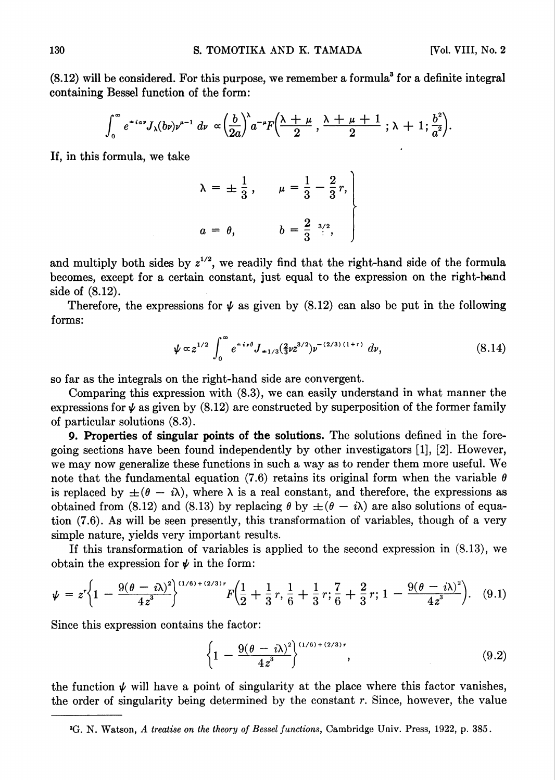$(8.12)$  will be considered. For this purpose, we remember a formula<sup>3</sup> for a definite integral containing Bessel function of the form:

$$
\int_0^{\infty} e^{+i\alpha\tau} J_{\lambda}(b\nu)\nu^{\mu-1} d\nu \propto \left(\frac{b}{2a}\right)^{\lambda} a^{-\mu} F\left(\frac{\lambda+\mu}{2},\frac{\lambda+\mu+1}{2};\lambda+1;\frac{b^2}{a^2}\right).
$$

If, in this formula, we take

$$
\lambda = \pm \frac{1}{3}, \quad \mu = \frac{1}{3} - \frac{2}{3}r,
$$
\n  
\n $a = \theta, \quad b = \frac{2}{3} \stackrel{3/2}{\vdots}, \quad$ 

and multiply both sides by  $z^{1/2}$ , we readily find that the right-hand side of the formula becomes, except for a certain constant, just equal to the expression on the right-hand side of (8.12).

Therefore, the expressions for  $\psi$  as given by (8.12) can also be put in the following forms:

$$
\psi \propto z^{1/2} \int_0^\infty e^{-i\nu\theta} J_{-1/3}(\frac{2}{3}\nu z^{3/2}) \nu^{-(2/3)(1+r)} d\nu,
$$
\n(8.14)

so far as the integrals on the right-hand side are convergent.

Comparing this expression with (8.3), we can easily understand in what manner the expressions for  $\psi$  as given by (8.12) are constructed by superposition of the former family of particular solutions (8.3).

9. Properties of singular points of the solutions. The solutions defined in the foregoing sections have been found independently by other investigators [1], [2]. However, we may now generalize these functions in such a way as to render them more useful. We note that the fundamental equation (7.6) retains its original form when the variable  $\theta$ is replaced by  $\pm(\theta - i\lambda)$ , where  $\lambda$  is a real constant, and therefore, the expressions as obtained from (8.12) and (8.13) by replacing  $\theta$  by  $\pm(\theta - i\lambda)$  are also solutions of equation (7.6). As will be seen presently, this transformation of variables, though of a very simple nature, yields very important results.

If this transformation of variables is applied to the second expression in (8.13), we obtain the expression for  $\psi$  in the form:

$$
\psi = z^r \left\{ 1 - \frac{9(\theta - i\lambda)^2}{4z^3} \right\}^{(1/6) + (2/3)r} F\left( \frac{1}{2} + \frac{1}{3}r, \frac{1}{6} + \frac{1}{3}r; \frac{7}{6} + \frac{2}{3}r; 1 - \frac{9(\theta - i\lambda)^2}{4z^3} \right). \tag{9.1}
$$

Since this expression contains the factor:

$$
\left\{1 - \frac{9(\theta - i\lambda)^2}{4z^3}\right\}^{(1/6) + (2/3)r},\tag{9.2}
$$

the function  $\psi$  will have a point of singularity at the place where this factor vanishes, the order of singularity being determined by the constant  $r$ . Since, however, the value

<sup>3</sup>G. N. Watson, A treatise on the theory of Bessel functions, Cambridge Univ. Press, 1922, p. 385.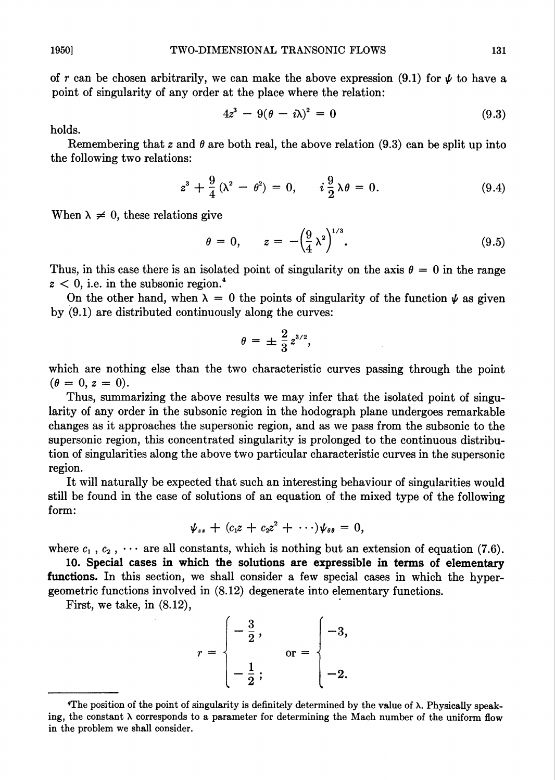of r can be chosen arbitrarily, we can make the above expression (9.1) for  $\psi$  to have a point of singularity of any order at the place where the relation:

$$
4z^3 - 9(\theta - i\lambda)^2 = 0 \tag{9.3}
$$

holds.

Remembering that z and  $\theta$  are both real, the above relation (9.3) can be split up into the following two relations:

$$
z^{3} + \frac{9}{4}(\lambda^{2} - \theta^{2}) = 0, \qquad i\frac{9}{2}\lambda\theta = 0.
$$
 (9.4)

When  $\lambda \neq 0$ , these relations give

$$
\theta = 0, \qquad z = -\left(\frac{9}{4}\lambda^2\right)^{1/3}.\tag{9.5}
$$

Thus, in this case there is an isolated point of singularity on the axis  $\theta = 0$  in the range  $z < 0$ , i.e. in the subsonic region.<sup>4</sup>

On the other hand, when  $\lambda = 0$  the points of singularity of the function  $\psi$  as given by (9.1) are distributed continuously along the curves:

$$
\theta = \pm \frac{2}{3} z^{3/2},
$$

which are nothing else than the two characteristic curves passing through the point  $(\theta = 0, z = 0).$ 

Thus, summarizing the above results we may infer that the isolated point of singularity of any order in the subsonic region in the hodograph plane undergoes remarkable changes as it approaches the supersonic region, and as we pass from the subsonic to the supersonic region, this concentrated singularity is prolonged to the continuous distribution of singularities along the above two particular characteristic curves in the supersonic region.

It will naturally be expected that such an interesting behaviour of singularities would still be found in the case of solutions of an equation of the mixed type of the following form:

$$
\psi_{zz}+(c_1z+c_2z^2+\cdots)\psi_{\theta\theta}=0,
$$

where  $c_1$ ,  $c_2$ ,  $\cdots$  are all constants, which is nothing but an extension of equation (7.6).

10. Special cases in which the solutions are expressible in terms of elementary functions. In this section, we shall consider a few special cases in which the hypergeometric functions involved in (8.12) degenerate into elementary functions.

First, we take, in (8.12),

$$
r = \begin{cases} -\frac{3}{2}, \\ -\frac{1}{2}; \end{cases} \quad \text{or} = \begin{cases} -3, \\ -2. \end{cases}
$$

<sup>4</sup>The position of the point of singularity is definitely determined by the value of X. Physically speaking, the constant  $\lambda$  corresponds to a parameter for determining the Mach number of the uniform flow in the problem we shall consider.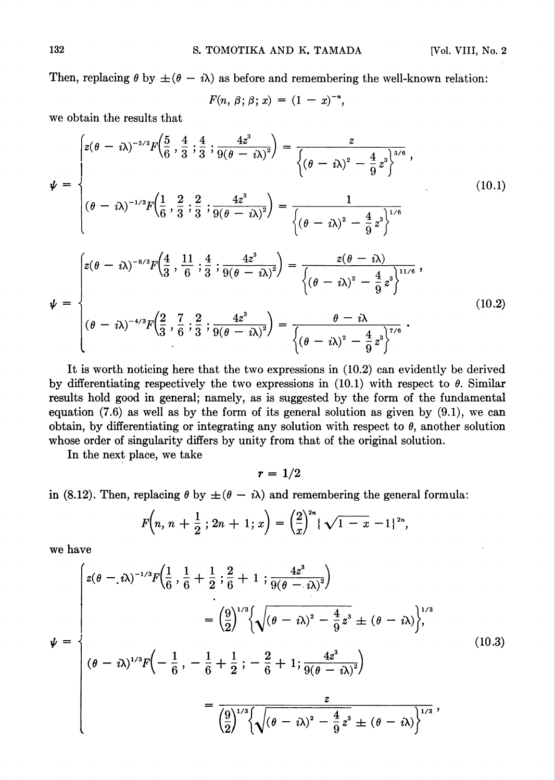Then, replacing  $\theta$  by  $\pm(\theta - i\lambda)$  as before and remembering the well-known relation:

$$
F(n, \beta; \beta; x) = (1 - x)^{-n},
$$

we obtain the results that

$$
\psi = \begin{cases} z(\theta - i\lambda)^{-5/3} F\left(\frac{5}{6}, \frac{4}{3}, \frac{4}{3}, \frac{4}{3}, \frac{4z^3}{9(\theta - i\lambda)^2}\right) = \frac{z}{\left\{(\theta - i\lambda)^2 - \frac{4}{9}z^3\right\}^{5/6}},\\ (\theta - i\lambda)^{-1/3} F\left(\frac{1}{6}, \frac{2}{3}, \frac{2}{3}, \frac{4z^3}{9(\theta - i\lambda)^2}\right) = \frac{1}{\left\{(\theta - i\lambda)^2 - \frac{4}{9}z^3\right\}^{1/6}}\\ (\theta - i\lambda)^{-8/3} F\left(\frac{4}{3}, \frac{11}{6}, \frac{1}{3}, \frac{4z^3}{9(\theta - i\lambda)^2}\right) = \frac{z(\theta - i\lambda)}{\left\{(\theta - i\lambda)^2 - \frac{4}{9}z^3\right\}^{11/6}},\\ \psi = \begin{cases} z(\theta - i\lambda)^{-4/3} F\left(\frac{2}{3}, \frac{7}{6}, \frac{2}{3}, \frac{4z^3}{9(\theta - i\lambda)^2}\right) = \frac{\theta - i\lambda}{\left\{(\theta - i\lambda)^2 - \frac{4}{9}z^3\right\}^{7/6}}. \end{cases}
$$
(10.2)

It is worth noticing here that the two expressions in (10.2) can evidently be derived by differentiating respectively the two expressions in  $(10.1)$  with respect to  $\theta$ . Similar results hold good in general; namely, as is suggested by the form of the fundamental equation  $(7.6)$  as well as by the form of its general solution as given by  $(9.1)$ , we can obtain, by differentiating or integrating any solution with respect to  $\theta$ , another solution whose order of singularity differs by unity from that of the original solution.

In the next place, we take

 $r = 1/2$ 

in (8.12). Then, replacing  $\theta$  by  $\pm(\theta - i\lambda)$  and remembering the general formula:

$$
F\left(n, n+\frac{1}{2} ; 2n+1 ; x\right)=\left(\frac{2}{x}\right)^{2n}\left(\sqrt{1-x}-1\right)^{2n},
$$

we have

$$
\psi = \begin{cases}\nz(\theta - i\lambda)^{-1/3}F\left(\frac{1}{6}, \frac{1}{6} + \frac{1}{2}; \frac{2}{6} + 1; \frac{4z^3}{9(\theta - i\lambda)^2}\right) \\
= \left(\frac{9}{2}\right)^{1/3}\left\{\sqrt{(\theta - i\lambda)^2 - \frac{4}{9}z^3} \pm (\theta - i\lambda)\right\}, \\
(\theta - i\lambda)^{1/3}F\left(-\frac{1}{6}, -\frac{1}{6} + \frac{1}{2}; -\frac{2}{6} + 1; \frac{4z^3}{9(\theta - i\lambda)^2}\right) \\
= \frac{2}{\left(\frac{9}{2}\right)^{1/3}\left\{\sqrt{(\theta - i\lambda)^2 - \frac{4}{9}z^3} \pm (\theta - i\lambda)\right\}^{1/3}},\n\end{cases} (10.3)
$$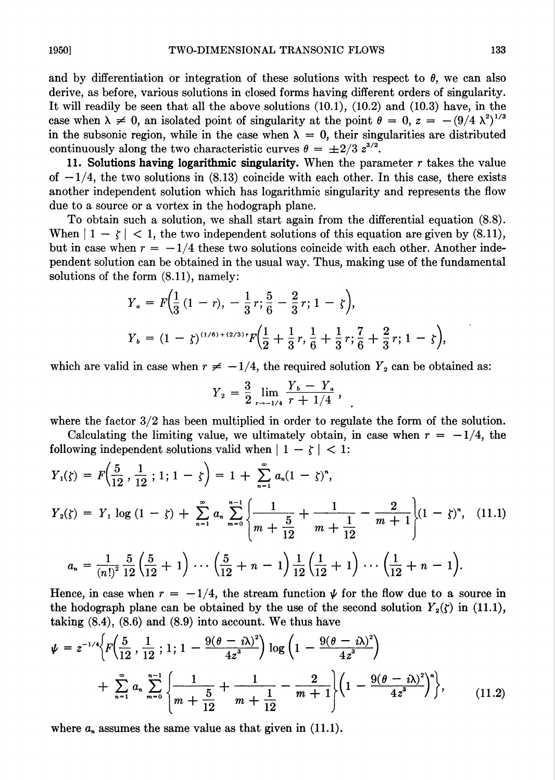and by differentiation or integration of these solutions with respect to  $\theta$ , we can also derive, as before, various solutions in closed forms having different orders of singularity. It will readily be seen that all the above solutions (10.1), (10.2) and (10.3) have, in the case when  $\lambda \neq 0$ , an isolated point of singularity at the point  $\theta = 0$ ,  $z = -(9/4 \lambda^2)^{1/3}$ in the subsonic region, while in the case when  $\lambda = 0$ , their singularities are distributed continuously along the two characteristic curves  $\theta = \pm 2/3$   $z^{3/2}$ .

11. Solutions having logarithmic singularity. When the parameter  $r$  takes the value of  $-1/4$ , the two solutions in (8.13) coincide with each other. In this case, there exists another independent solution which has logarithmic singularity and represents the flow due to a source or a vortex in the hodograph plane.

To obtain such a solution, we shall start again from the differential equation (8.8). When  $|1 - \zeta| < 1$ , the two independent solutions of this equation are given by (8.11), but in case when  $r = -1/4$  these two solutions coincide with each other. Another independent solution can be obtained in the usual way. Thus, making use of the fundamental solutions of the form (8.11), namely:

$$
Y_a = F\left(\frac{1}{3}(1-r), -\frac{1}{3}r, \frac{5}{6} - \frac{2}{3}r, 1-\zeta\right),
$$
  
\n
$$
Y_b = (1-\zeta)^{(1/6)+(2/3)}rF\left(\frac{1}{2} + \frac{1}{3}r, \frac{1}{6} + \frac{1}{3}r, \frac{7}{6} + \frac{2}{3}r, 1-\zeta\right),
$$

which are valid in case when  $r \neq -1/4$ , the required solution  $Y_2$  can be obtained as:

$$
Y_2 = \frac{3}{2} \lim_{r \to -1/4} \frac{Y_b - Y_a}{r + 1/4},
$$

where the factor  $3/2$  has been multiplied in order to regulate the form of the solution.

Calculating the limiting value, we ultimately obtain, in case when  $r = -1/4$ , the following independent solutions valid when  $| 1 - \zeta | < 1$ :

$$
Y_1(\zeta) = F\left(\frac{5}{12}, \frac{1}{12}; 1; 1 - \zeta\right) = 1 + \sum_{n=1}^{\infty} a_n (1 - \zeta)^n,
$$
  
\n
$$
Y_2(\zeta) = Y_1 \log (1 - \zeta) + \sum_{n=1}^{\infty} a_n \sum_{m=0}^{n-1} \left\{ \frac{1}{m + \frac{5}{12}} + \frac{1}{m + \frac{1}{12}} - \frac{2}{m + 1} \right\} (1 - \zeta)^n, \quad (11.1)
$$
  
\n
$$
a_n = \frac{1}{(n!)^2} \frac{5}{12} \left( \frac{5}{12} + 1 \right) \cdots \left( \frac{5}{12} + n - 1 \right) \frac{1}{12} \left( \frac{1}{12} + 1 \right) \cdots \left( \frac{1}{12} + n - 1 \right).
$$

Hence, in case when  $r = -1/4$ , the stream function  $\psi$  for the flow due to a source in the hodograph plane can be obtained by the use of the second solution  $Y_2(\zeta)$  in (11.1), taking  $(8.4)$ ,  $(8.6)$  and  $(8.9)$  into account. We thus have

$$
\psi = z^{-1/4} \Big\{ F\Big(\frac{5}{12}, \frac{1}{12}; 1; 1 - \frac{9(\theta - i\lambda)^2}{4z^3}\Big) \log \Big(1 - \frac{9(\theta - i\lambda)^2}{4z^3}\Big) + \sum_{n=1}^{\infty} a_n \sum_{m=0}^{n-1} \Big\{ \frac{1}{m + \frac{5}{12}} + \frac{1}{m + \frac{1}{12}} - \frac{2}{m + 1} \Big\} \Big( 1 - \frac{9(\theta - i\lambda)^2}{4z^3} \Big)^n \Big\}, \qquad (11.2)
$$

where  $a_n$  assumes the same value as that given in (11.1).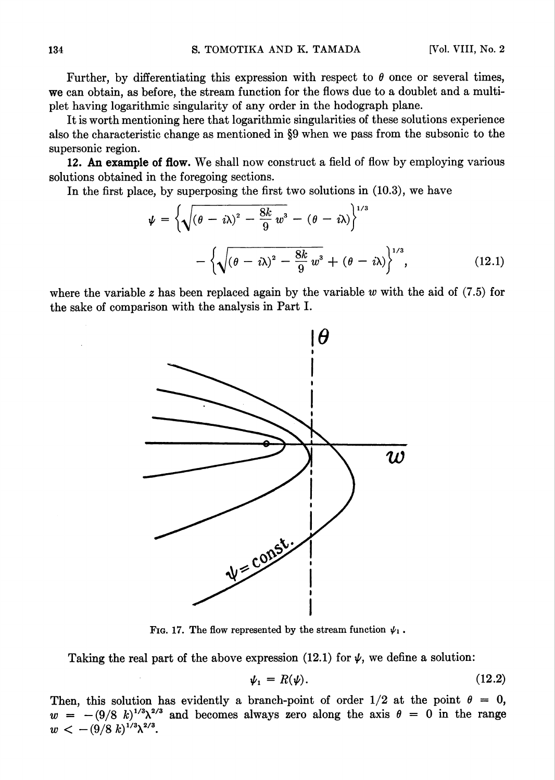Further, by differentiating this expression with respect to  $\theta$  once or several times, we can obtain, as before, the stream function for the flows due to a doublet and a multiplet having logarithmic singularity of any order in the hodograph plane.

It is worth mentioning here that logarithmic singularities of these solutions experience also the characteristic change as mentioned in §9 when we pass from the subsonic to the supersonic region.

12. An example of flow. We shall now construct a field of flow by employing various solutions obtained in the foregoing sections.

In the first place, by superposing the first two solutions in (10.3), we have

$$
\psi = \left\{ \sqrt{\left(\theta - i\lambda\right)^2 - \frac{8k}{9}w^3} - \left(\theta - i\lambda\right) \right\}^{1/3}
$$

$$
- \left\{ \sqrt{\left(\theta - i\lambda\right)^2 - \frac{8k}{9}w^3} + \left(\theta - i\lambda\right) \right\}^{1/3},\tag{12.1}
$$

where the variable z has been replaced again by the variable w with the aid of  $(7.5)$  for the sake of comparison with the analysis in Part I.



Fig. 17. The flow represented by the stream function  $\psi_1$ .

Taking the real part of the above expression (12.1) for  $\psi$ , we define a solution:

$$
\psi_1 = R(\psi). \tag{12.2}
$$

Then, this solution has evidently a branch-point of order  $1/2$  at the point  $\theta = 0$ ,  $w = -(9/8 k)^{1/3} \lambda^{2/3}$  and becomes always zero along the axis  $\theta = 0$  in the range  $w < -\left(9/8 \ k\right)^{1/3} \lambda^{2/3}.$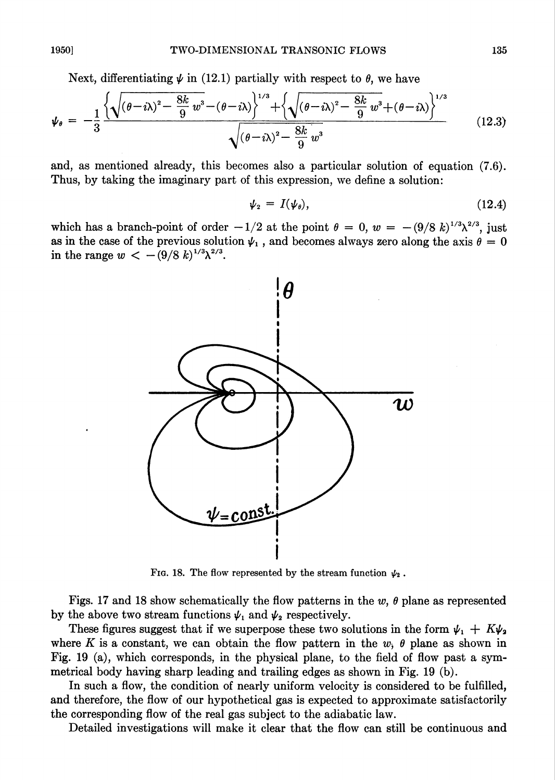Next, differentiating  $\psi$  in (12.1) partially with respect to  $\theta$ , we have

$$
\psi_{\theta} = -\frac{1}{3} \frac{\left\{ \sqrt{(\theta - i\lambda)^2 - \frac{8k}{9} w^3 - (\theta - i\lambda)} \right\}^{1/3} + \left\{ \sqrt{(\theta - i\lambda)^2 - \frac{8k}{9} w^3 + (\theta - i\lambda)} \right\}^{1/3}}{\sqrt{(\theta - i\lambda)^2 - \frac{8k}{9} w^3}}
$$
(12.3)

and, as mentioned already, this becomes also a particular solution of equation (7.6). Thus, by taking the imaginary part of this expression, we define a solution:

$$
\psi_2 = I(\psi_\theta), \tag{12.4}
$$

which has a branch-point of order  $-1/2$  at the point  $\theta = 0$ ,  $w = -(9/8 \ k)^{1/3}\lambda^{2/3}$ , just as in the case of the previous solution  $\psi_1$ , and becomes always zero along the axis  $\theta = 0$ in the range  $w < -(9/8 \; k)^{1/3} \lambda^{2/3}$ .



Fig. 18. The flow represented by the stream function  $\psi_2$ .

Figs. 17 and 18 show schematically the flow patterns in the w,  $\theta$  plane as represented by the above two stream functions  $\psi_1$  and  $\psi_2$  respectively.

These figures suggest that if we superpose these two solutions in the form  $\psi_1 + K\psi_2$ where K is a constant, we can obtain the flow pattern in the  $w$ ,  $\theta$  plane as shown in Fig. 19 (a), which corresponds, in the physical plane, to the field of flow past a symmetrical body having sharp leading and trailing edges as shown in Fig. 19 (b).

In such a flow, the condition of nearly uniform velocity is considered to be fulfilled, and therefore, the flow of our hypothetical gas is expected to approximate satisfactorily the corresponding flow of the real gas subject to the adiabatic law.

Detailed investigations will make it clear that the flow can still be continuous and